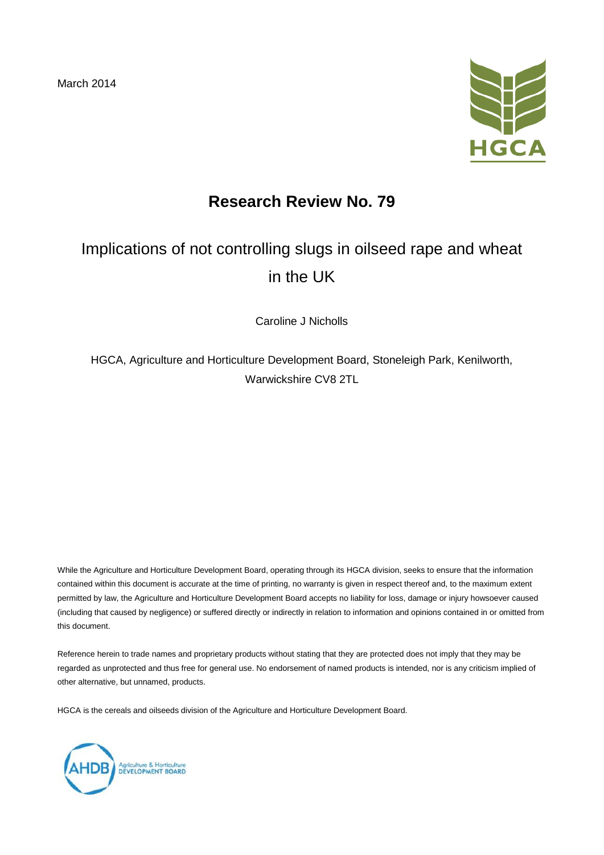March 2014



# **Research Review No. 79**

# Implications of not controlling slugs in oilseed rape and wheat in the UK

Caroline J Nicholls

HGCA, Agriculture and Horticulture Development Board, Stoneleigh Park, Kenilworth, Warwickshire CV8 2TL

While the Agriculture and Horticulture Development Board, operating through its HGCA division, seeks to ensure that the information contained within this document is accurate at the time of printing, no warranty is given in respect thereof and, to the maximum extent permitted by law, the Agriculture and Horticulture Development Board accepts no liability for loss, damage or injury howsoever caused (including that caused by negligence) or suffered directly or indirectly in relation to information and opinions contained in or omitted from this document.

Reference herein to trade names and proprietary products without stating that they are protected does not imply that they may be regarded as unprotected and thus free for general use. No endorsement of named products is intended, nor is any criticism implied of other alternative, but unnamed, products.

HGCA is the cereals and oilseeds division of the Agriculture and Horticulture Development Board.

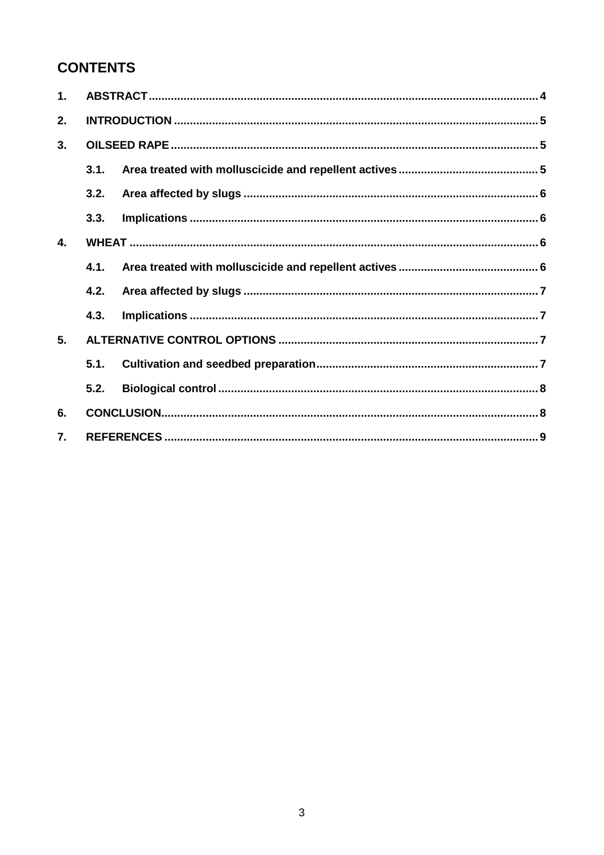# **CONTENTS**

| $\mathbf 1$ .    |      |  |  |
|------------------|------|--|--|
| 2.               |      |  |  |
| 3.               |      |  |  |
|                  | 3.1. |  |  |
|                  | 3.2. |  |  |
|                  | 3.3. |  |  |
| $\overline{4}$ . |      |  |  |
|                  | 4.1. |  |  |
|                  | 4.2. |  |  |
|                  | 4.3. |  |  |
| 5.               |      |  |  |
|                  | 5.1. |  |  |
|                  | 5.2. |  |  |
| 6.               |      |  |  |
| $\overline{7}$ . |      |  |  |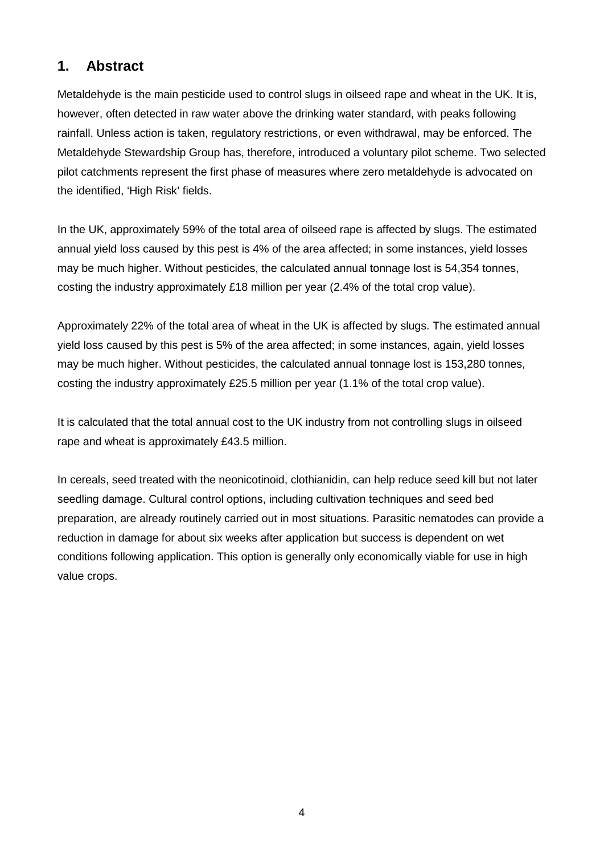## **1. Abstract**

Metaldehyde is the main pesticide used to control slugs in oilseed rape and wheat in the UK. It is, however, often detected in raw water above the drinking water standard, with peaks following rainfall. Unless action is taken, regulatory restrictions, or even withdrawal, may be enforced. The Metaldehyde Stewardship Group has, therefore, introduced a voluntary pilot scheme. Two selected pilot catchments represent the first phase of measures where zero metaldehyde is advocated on the identified, 'High Risk' fields.

In the UK, approximately 59% of the total area of oilseed rape is affected by slugs. The estimated annual yield loss caused by this pest is 4% of the area affected; in some instances, yield losses may be much higher. Without pesticides, the calculated annual tonnage lost is 54,354 tonnes, costing the industry approximately £18 million per year (2.4% of the total crop value).

Approximately 22% of the total area of wheat in the UK is affected by slugs. The estimated annual yield loss caused by this pest is 5% of the area affected; in some instances, again, yield losses may be much higher. Without pesticides, the calculated annual tonnage lost is 153,280 tonnes, costing the industry approximately £25.5 million per year (1.1% of the total crop value).

It is calculated that the total annual cost to the UK industry from not controlling slugs in oilseed rape and wheat is approximately £43.5 million.

In cereals, seed treated with the neonicotinoid, clothianidin, can help reduce seed kill but not later seedling damage. Cultural control options, including cultivation techniques and seed bed preparation, are already routinely carried out in most situations. Parasitic nematodes can provide a reduction in damage for about six weeks after application but success is dependent on wet conditions following application. This option is generally only economically viable for use in high value crops.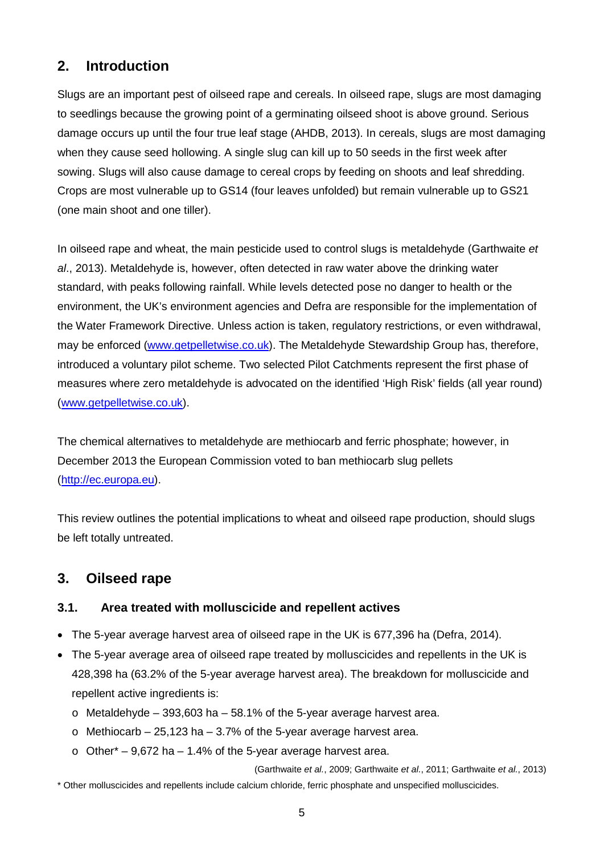## **2. Introduction**

Slugs are an important pest of oilseed rape and cereals. In oilseed rape, slugs are most damaging to seedlings because the growing point of a germinating oilseed shoot is above ground. Serious damage occurs up until the four true leaf stage (AHDB, 2013). In cereals, slugs are most damaging when they cause seed hollowing. A single slug can kill up to 50 seeds in the first week after sowing. Slugs will also cause damage to cereal crops by feeding on shoots and leaf shredding. Crops are most vulnerable up to GS14 (four leaves unfolded) but remain vulnerable up to GS21 (one main shoot and one tiller).

In oilseed rape and wheat, the main pesticide used to control slugs is metaldehyde (Garthwaite *et al*., 2013). Metaldehyde is, however, often detected in raw water above the drinking water standard, with peaks following rainfall. While levels detected pose no danger to health or the environment, the UK's environment agencies and Defra are responsible for the implementation of the Water Framework Directive. Unless action is taken, regulatory restrictions, or even withdrawal, may be enforced [\(www.getpelletwise.co.uk\)](http://www.getpelletwise.co.uk/). The Metaldehyde Stewardship Group has, therefore, introduced a voluntary pilot scheme. Two selected Pilot Catchments represent the first phase of measures where zero metaldehyde is advocated on the identified 'High Risk' fields (all year round) [\(www.getpelletwise.co.uk\)](http://www.getpelletwise.co.uk/).

The chemical alternatives to metaldehyde are methiocarb and ferric phosphate; however, in December 2013 the European Commission voted to ban methiocarb slug pellets [\(http://ec.europa.eu\)](http://ec.europa.eu/).

This review outlines the potential implications to wheat and oilseed rape production, should slugs be left totally untreated.

## **3. Oilseed rape**

#### **3.1. Area treated with molluscicide and repellent actives**

- The 5-year average harvest area of oilseed rape in the UK is 677,396 ha (Defra, 2014).
- The 5-year average area of oilseed rape treated by molluscicides and repellents in the UK is 428,398 ha (63.2% of the 5-year average harvest area). The breakdown for molluscicide and repellent active ingredients is:
	- $\circ$  Metaldehyde 393,603 ha 58.1% of the 5-year average harvest area.
	- $\circ$  Methiocarb 25,123 ha 3.7% of the 5-year average harvest area.
	- $\circ$  Other\* 9,672 ha 1.4% of the 5-year average harvest area.

(Garthwaite *et al.*, 2009; Garthwaite *et al.*, 2011; Garthwaite *et al.*, 2013) \* Other molluscicides and repellents include calcium chloride, ferric phosphate and unspecified molluscicides.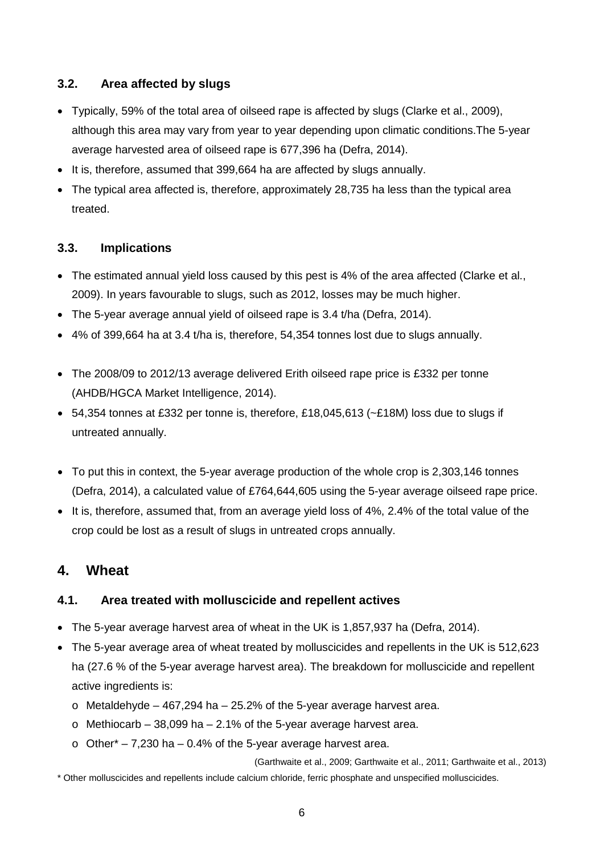#### **3.2. Area affected by slugs**

- Typically, 59% of the total area of oilseed rape is affected by slugs (Clarke et al., 2009), although this area may vary from year to year depending upon climatic conditions.The 5-year average harvested area of oilseed rape is 677,396 ha (Defra, 2014).
- It is, therefore, assumed that 399,664 ha are affected by slugs annually.
- The typical area affected is, therefore, approximately 28,735 ha less than the typical area treated.

#### **3.3. Implications**

- The estimated annual yield loss caused by this pest is 4% of the area affected (Clarke et al., 2009). In years favourable to slugs, such as 2012, losses may be much higher.
- The 5-year average annual yield of oilseed rape is 3.4 t/ha (Defra, 2014).
- 4% of 399,664 ha at 3.4 t/ha is, therefore, 54,354 tonnes lost due to slugs annually.
- The 2008/09 to 2012/13 average delivered Erith oilseed rape price is £332 per tonne (AHDB/HGCA Market Intelligence, 2014).
- 54,354 tonnes at £332 per tonne is, therefore, £18,045,613 (~£18M) loss due to slugs if untreated annually.
- To put this in context, the 5-year average production of the whole crop is 2,303,146 tonnes (Defra, 2014), a calculated value of £764,644,605 using the 5-year average oilseed rape price.
- It is, therefore, assumed that, from an average yield loss of 4%, 2.4% of the total value of the crop could be lost as a result of slugs in untreated crops annually.

## **4. Wheat**

#### **4.1. Area treated with molluscicide and repellent actives**

- The 5-year average harvest area of wheat in the UK is 1,857,937 ha (Defra, 2014).
- The 5-year average area of wheat treated by molluscicides and repellents in the UK is 512,623 ha (27.6 % of the 5-year average harvest area). The breakdown for molluscicide and repellent active ingredients is:
	- $\circ$  Metaldehyde 467,294 ha 25.2% of the 5-year average harvest area.
	- $\circ$  Methiocarb 38,099 ha 2.1% of the 5-year average harvest area.
	- $\circ$  Other\* 7,230 ha 0.4% of the 5-year average harvest area.

(Garthwaite et al., 2009; Garthwaite et al., 2011; Garthwaite et al., 2013)

\* Other molluscicides and repellents include calcium chloride, ferric phosphate and unspecified molluscicides.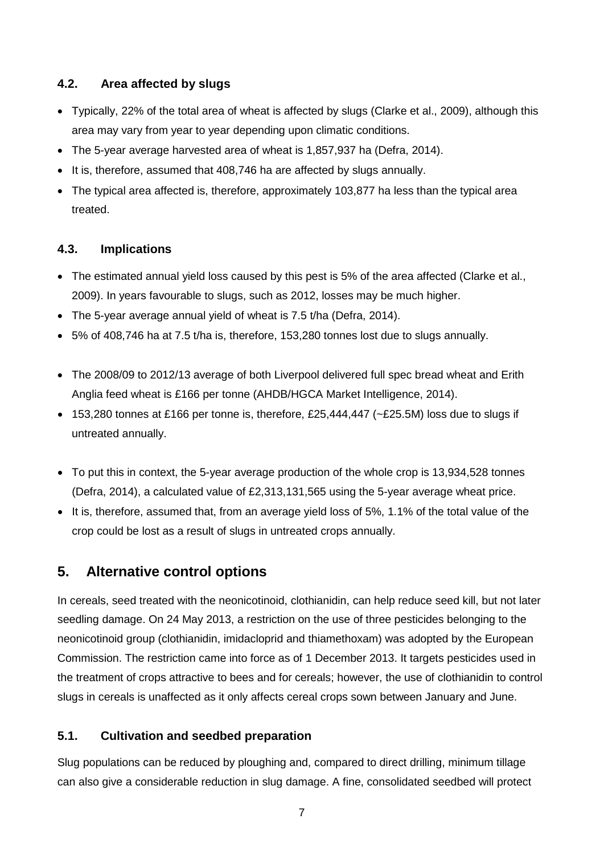#### **4.2. Area affected by slugs**

- Typically, 22% of the total area of wheat is affected by slugs (Clarke et al., 2009), although this area may vary from year to year depending upon climatic conditions.
- The 5-year average harvested area of wheat is 1,857,937 ha (Defra, 2014).
- It is, therefore, assumed that 408,746 ha are affected by slugs annually.
- The typical area affected is, therefore, approximately 103,877 ha less than the typical area treated.

#### **4.3. Implications**

- The estimated annual yield loss caused by this pest is 5% of the area affected (Clarke et al., 2009). In years favourable to slugs, such as 2012, losses may be much higher.
- The 5-year average annual yield of wheat is 7.5 t/ha (Defra, 2014).
- 5% of 408,746 ha at 7.5 t/ha is, therefore, 153,280 tonnes lost due to slugs annually.
- The 2008/09 to 2012/13 average of both Liverpool delivered full spec bread wheat and Erith Anglia feed wheat is £166 per tonne (AHDB/HGCA Market Intelligence, 2014).
- 153,280 tonnes at £166 per tonne is, therefore, £25,444,447 (~£25.5M) loss due to slugs if untreated annually.
- To put this in context, the 5-year average production of the whole crop is 13,934,528 tonnes (Defra, 2014), a calculated value of £2,313,131,565 using the 5-year average wheat price.
- It is, therefore, assumed that, from an average yield loss of 5%, 1.1% of the total value of the crop could be lost as a result of slugs in untreated crops annually.

## **5. Alternative control options**

In cereals, seed treated with the neonicotinoid, clothianidin, can help reduce seed kill, but not later seedling damage. On 24 May 2013, a restriction on the use of three pesticides belonging to the neonicotinoid group (clothianidin, imidacloprid and thiamethoxam) was adopted by the European Commission. The restriction came into force as of 1 December 2013. It targets pesticides used in the treatment of crops attractive to bees and for cereals; however, the use of clothianidin to control slugs in cereals is unaffected as it only affects cereal crops sown between January and June.

#### **5.1. Cultivation and seedbed preparation**

Slug populations can be reduced by ploughing and, compared to direct drilling, minimum tillage can also give a considerable reduction in slug damage. A fine, consolidated seedbed will protect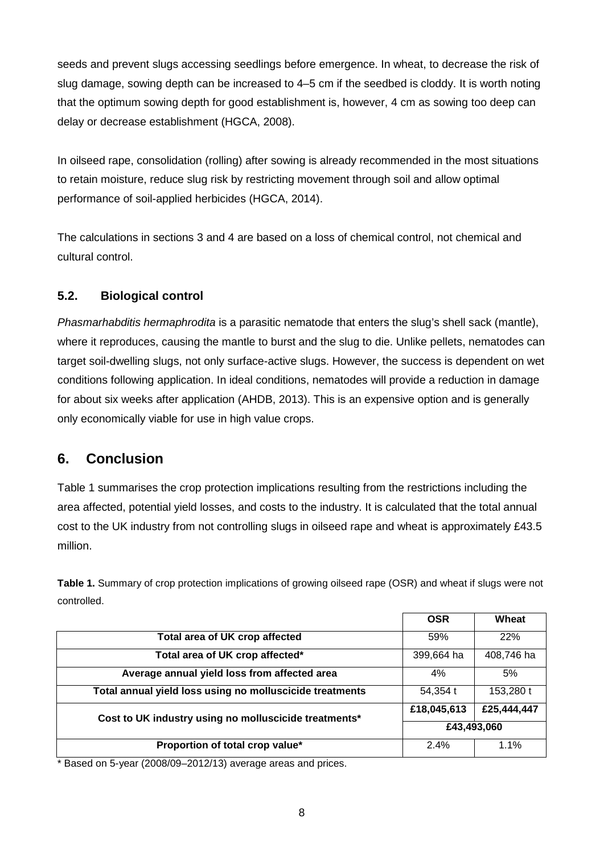seeds and prevent slugs accessing seedlings before emergence. In wheat, to decrease the risk of slug damage, sowing depth can be increased to 4–5 cm if the seedbed is cloddy. It is worth noting that the optimum sowing depth for good establishment is, however, 4 cm as sowing too deep can delay or decrease establishment (HGCA, 2008).

In oilseed rape, consolidation (rolling) after sowing is already recommended in the most situations to retain moisture, reduce slug risk by restricting movement through soil and allow optimal performance of soil-applied herbicides (HGCA, 2014).

The calculations in sections 3 and 4 are based on a loss of chemical control, not chemical and cultural control.

### **5.2. Biological control**

*Phasmarhabditis hermaphrodita* is a parasitic nematode that enters the slug's shell sack (mantle), where it reproduces, causing the mantle to burst and the slug to die. Unlike pellets, nematodes can target soil-dwelling slugs, not only surface-active slugs. However, the success is dependent on wet conditions following application. In ideal conditions, nematodes will provide a reduction in damage for about six weeks after application (AHDB, 2013). This is an expensive option and is generally only economically viable for use in high value crops.

## **6. Conclusion**

Table 1 summarises the crop protection implications resulting from the restrictions including the area affected, potential yield losses, and costs to the industry. It is calculated that the total annual cost to the UK industry from not controlling slugs in oilseed rape and wheat is approximately £43.5 million.

|                                                          | <b>OSR</b>  | Wheat       |
|----------------------------------------------------------|-------------|-------------|
| Total area of UK crop affected                           | 59%         | 22%         |
| Total area of UK crop affected*                          | 399,664 ha  | 408,746 ha  |
| Average annual yield loss from affected area             | 4%          | 5%          |
| Total annual yield loss using no molluscicide treatments | 54,354 t    | 153,280 t   |
| Cost to UK industry using no molluscicide treatments*    | £18,045,613 | £25,444,447 |
|                                                          | £43,493,060 |             |
| Proportion of total crop value*                          | 2.4%        | 1.1%        |

**Table 1.** Summary of crop protection implications of growing oilseed rape (OSR) and wheat if slugs were not controlled.

\* Based on 5-year (2008/09–2012/13) average areas and prices.